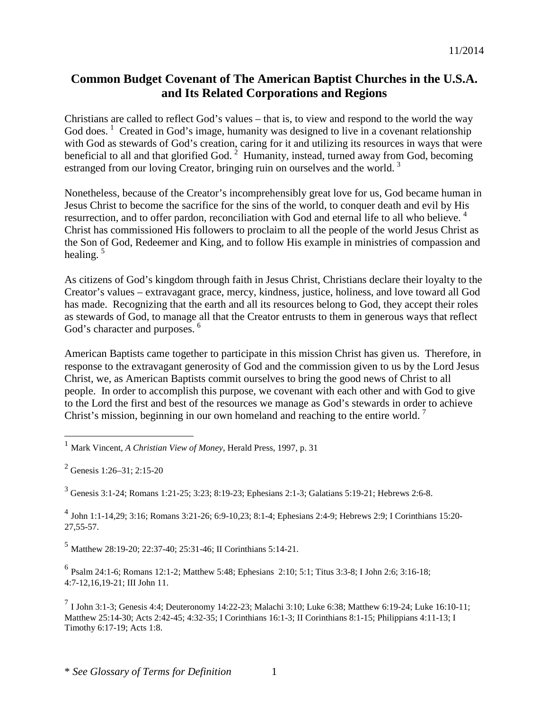# **Common Budget Covenant of The American Baptist Churches in the U.S.A. and Its Related Corporations and Regions**

Christians are called to reflect God's values – that is, to view and respond to the world the way God does.  $\frac{1}{1}$  $\frac{1}{1}$  $\frac{1}{1}$  Created in God's image, humanity was designed to live in a covenant relationship with God as stewards of God's creation, caring for it and utilizing its resources in ways that were beneficial to all and that glorified God.<sup>[2](#page-0-1)</sup> Humanity, instead, turned away from God, becoming estranged from our loving Creator, bringing ruin on ourselves and the world.<sup>[3](#page-0-2)</sup>

Nonetheless, because of the Creator's incomprehensibly great love for us, God became human in Jesus Christ to become the sacrifice for the sins of the world, to conquer death and evil by His resurrection, and to offer pardon, reconciliation with God and eternal life to all who believe.<sup>[4](#page-0-3)</sup> Christ has commissioned His followers to proclaim to all the people of the world Jesus Christ as the Son of God, Redeemer and King, and to follow His example in ministries of compassion and healing.  $5$ 

As citizens of God's kingdom through faith in Jesus Christ, Christians declare their loyalty to the Creator's values – extravagant grace, mercy, kindness, justice, holiness, and love toward all God has made. Recognizing that the earth and all its resources belong to God, they accept their roles as stewards of God, to manage all that the Creator entrusts to them in generous ways that reflect God's character and purposes.<sup>[6](#page-0-5)</sup>

American Baptists came together to participate in this mission Christ has given us. Therefore, in response to the extravagant generosity of God and the commission given to us by the Lord Jesus Christ, we, as American Baptists commit ourselves to bring the good news of Christ to all people. In order to accomplish this purpose, we covenant with each other and with God to give to the Lord the first and best of the resources we manage as God's stewards in order to achieve Christ's mission, beginning in our own homeland and reaching to the entire world.<sup>[7](#page-0-6)</sup>

<span id="page-0-2"></span><sup>3</sup> Genesis 3:1-24; Romans 1:21-25; 3:23; 8:19-23; Ephesians 2:1-3; Galatians 5:19-21; Hebrews 2:6-8.

<span id="page-0-3"></span><sup>4</sup> John 1:1-14,29; 3:16; Romans 3:21-26; 6:9-10,23; 8:1-4; Ephesians 2:4-9; Hebrews 2:9; I Corinthians 15:20- 27,55-57.

<span id="page-0-4"></span><sup>5</sup> Matthew 28:19-20; 22:37-40; 25:31-46; II Corinthians 5:14-21.

<span id="page-0-5"></span><sup>6</sup> Psalm 24:1-6; Romans 12:1-2; Matthew 5:48; Ephesians 2:10; 5:1; Titus 3:3-8; I John 2:6; 3:16-18; 4:7-12,16,19-21; III John 11.

<span id="page-0-6"></span> $7$  I John 3:1-3; Genesis 4:4; Deuteronomy 14:22-23; Malachi 3:10; Luke 6:38; Matthew 6:19-24; Luke 16:10-11; Matthew 25:14-30; Acts 2:42-45; 4:32-35; I Corinthians 16:1-3; II Corinthians 8:1-15; Philippians 4:11-13; I Timothy 6:17-19; Acts 1:8.

<span id="page-0-0"></span> <sup>1</sup> Mark Vincent, *A Christian View of Money*, Herald Press, 1997, p. 31

<span id="page-0-1"></span><sup>2</sup> Genesis 1:26–31; 2:15-20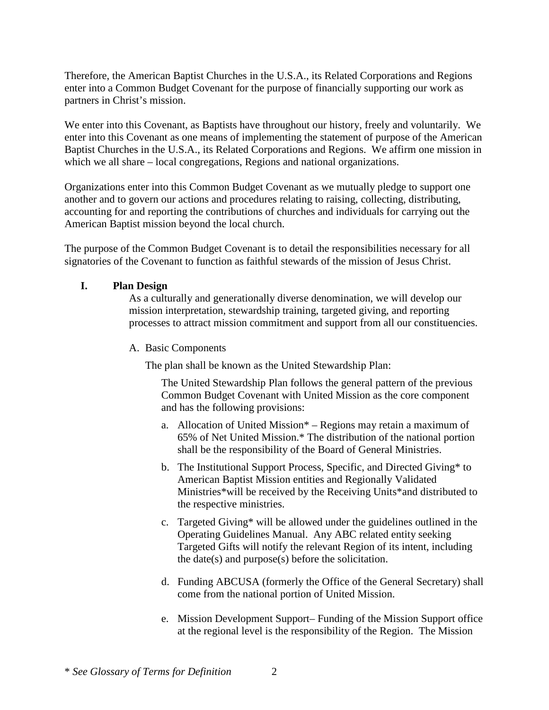Therefore, the American Baptist Churches in the U.S.A., its Related Corporations and Regions enter into a Common Budget Covenant for the purpose of financially supporting our work as partners in Christ's mission.

We enter into this Covenant, as Baptists have throughout our history, freely and voluntarily. We enter into this Covenant as one means of implementing the statement of purpose of the American Baptist Churches in the U.S.A., its Related Corporations and Regions. We affirm one mission in which we all share – local congregations, Regions and national organizations.

Organizations enter into this Common Budget Covenant as we mutually pledge to support one another and to govern our actions and procedures relating to raising, collecting, distributing, accounting for and reporting the contributions of churches and individuals for carrying out the American Baptist mission beyond the local church.

The purpose of the Common Budget Covenant is to detail the responsibilities necessary for all signatories of the Covenant to function as faithful stewards of the mission of Jesus Christ.

### **I. Plan Design**

As a culturally and generationally diverse denomination, we will develop our mission interpretation, stewardship training, targeted giving, and reporting processes to attract mission commitment and support from all our constituencies.

A. Basic Components

The plan shall be known as the United Stewardship Plan:

The United Stewardship Plan follows the general pattern of the previous Common Budget Covenant with United Mission as the core component and has the following provisions:

- a. Allocation of United Mission\* Regions may retain a maximum of 65% of Net United Mission.\* The distribution of the national portion shall be the responsibility of the Board of General Ministries.
- b. The Institutional Support Process, Specific, and Directed Giving\* to American Baptist Mission entities and Regionally Validated Ministries\*will be received by the Receiving Units\*and distributed to the respective ministries.
- c. Targeted Giving\* will be allowed under the guidelines outlined in the Operating Guidelines Manual. Any ABC related entity seeking Targeted Gifts will notify the relevant Region of its intent, including the date(s) and purpose(s) before the solicitation.
- d. Funding ABCUSA (formerly the Office of the General Secretary) shall come from the national portion of United Mission.
- e. Mission Development Support– Funding of the Mission Support office at the regional level is the responsibility of the Region. The Mission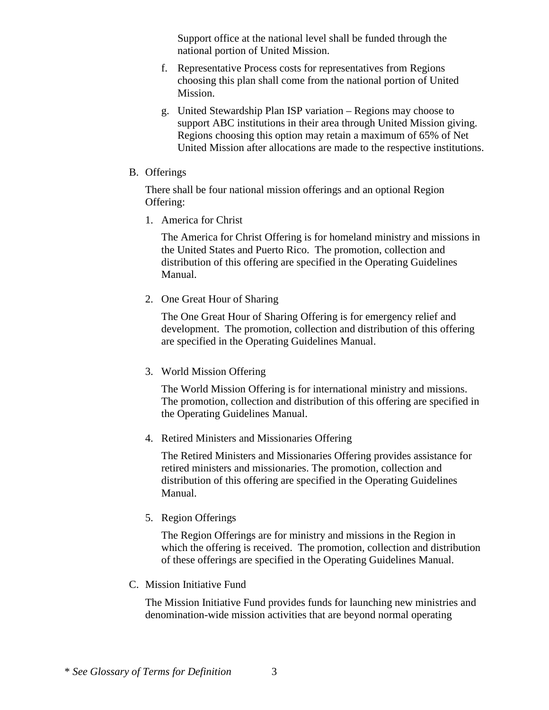Support office at the national level shall be funded through the national portion of United Mission.

- f. Representative Process costs for representatives from Regions choosing this plan shall come from the national portion of United Mission.
- g. United Stewardship Plan ISP variation Regions may choose to support ABC institutions in their area through United Mission giving. Regions choosing this option may retain a maximum of 65% of Net United Mission after allocations are made to the respective institutions.
- B. Offerings

There shall be four national mission offerings and an optional Region Offering:

1. America for Christ

The America for Christ Offering is for homeland ministry and missions in the United States and Puerto Rico. The promotion, collection and distribution of this offering are specified in the Operating Guidelines Manual.

2. One Great Hour of Sharing

The One Great Hour of Sharing Offering is for emergency relief and development. The promotion, collection and distribution of this offering are specified in the Operating Guidelines Manual.

3. World Mission Offering

The World Mission Offering is for international ministry and missions. The promotion, collection and distribution of this offering are specified in the Operating Guidelines Manual.

4. Retired Ministers and Missionaries Offering

The Retired Ministers and Missionaries Offering provides assistance for retired ministers and missionaries. The promotion, collection and distribution of this offering are specified in the Operating Guidelines Manual.

5. Region Offerings

The Region Offerings are for ministry and missions in the Region in which the offering is received. The promotion, collection and distribution of these offerings are specified in the Operating Guidelines Manual.

C. Mission Initiative Fund

The Mission Initiative Fund provides funds for launching new ministries and denomination-wide mission activities that are beyond normal operating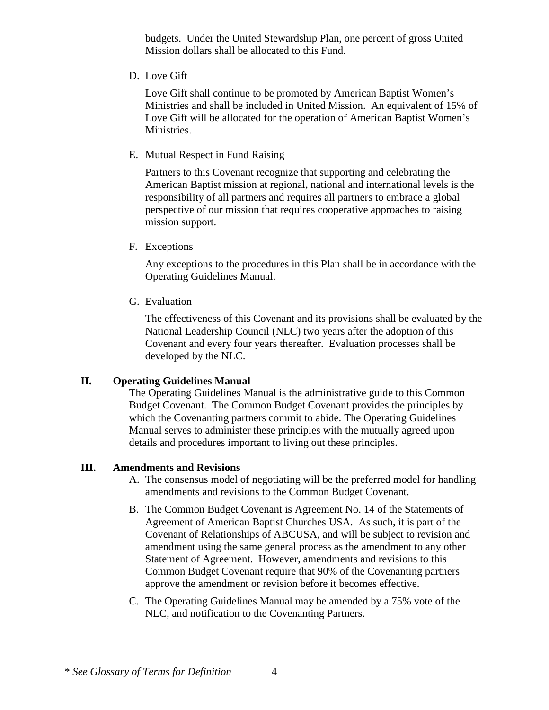budgets. Under the United Stewardship Plan, one percent of gross United Mission dollars shall be allocated to this Fund.

D. Love Gift

Love Gift shall continue to be promoted by American Baptist Women's Ministries and shall be included in United Mission. An equivalent of 15% of Love Gift will be allocated for the operation of American Baptist Women's Ministries.

E. Mutual Respect in Fund Raising

Partners to this Covenant recognize that supporting and celebrating the American Baptist mission at regional, national and international levels is the responsibility of all partners and requires all partners to embrace a global perspective of our mission that requires cooperative approaches to raising mission support.

F. Exceptions

Any exceptions to the procedures in this Plan shall be in accordance with the Operating Guidelines Manual.

G. Evaluation

The effectiveness of this Covenant and its provisions shall be evaluated by the National Leadership Council (NLC) two years after the adoption of this Covenant and every four years thereafter. Evaluation processes shall be developed by the NLC.

#### **II. Operating Guidelines Manual**

The Operating Guidelines Manual is the administrative guide to this Common Budget Covenant. The Common Budget Covenant provides the principles by which the Covenanting partners commit to abide. The Operating Guidelines Manual serves to administer these principles with the mutually agreed upon details and procedures important to living out these principles.

#### **III. Amendments and Revisions**

- A. The consensus model of negotiating will be the preferred model for handling amendments and revisions to the Common Budget Covenant.
- B. The Common Budget Covenant is Agreement No. 14 of the Statements of Agreement of American Baptist Churches USA. As such, it is part of the Covenant of Relationships of ABCUSA, and will be subject to revision and amendment using the same general process as the amendment to any other Statement of Agreement. However, amendments and revisions to this Common Budget Covenant require that 90% of the Covenanting partners approve the amendment or revision before it becomes effective.
- C. The Operating Guidelines Manual may be amended by a 75% vote of the NLC, and notification to the Covenanting Partners.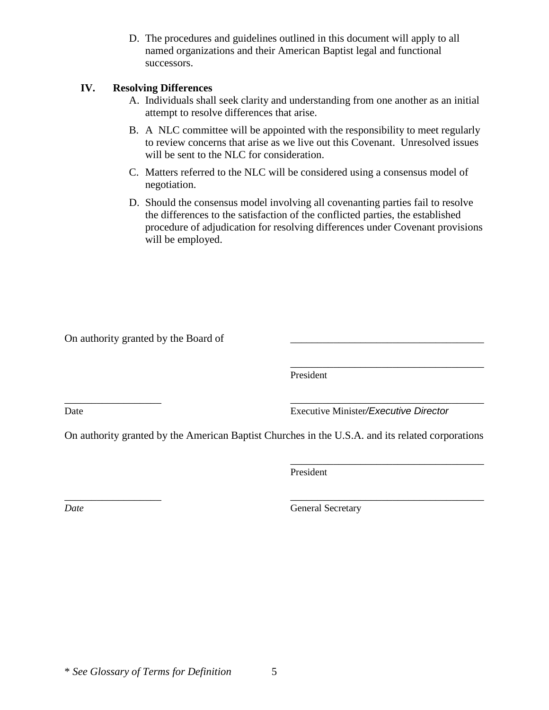D. The procedures and guidelines outlined in this document will apply to all named organizations and their American Baptist legal and functional successors.

### **IV. Resolving Differences**

- A. Individuals shall seek clarity and understanding from one another as an initial attempt to resolve differences that arise.
- B. A NLC committee will be appointed with the responsibility to meet regularly to review concerns that arise as we live out this Covenant. Unresolved issues will be sent to the NLC for consideration.
- C. Matters referred to the NLC will be considered using a consensus model of negotiation.
- D. Should the consensus model involving all covenanting parties fail to resolve the differences to the satisfaction of the conflicted parties, the established procedure of adjudication for resolving differences under Covenant provisions will be employed.

On authority granted by the Board of

\_\_\_\_\_\_\_\_\_\_\_\_\_\_\_\_\_\_\_\_\_\_\_\_\_\_\_\_\_\_\_\_\_\_\_\_ President

\_\_\_\_\_\_\_\_\_\_\_\_\_\_\_\_\_\_ \_\_\_\_\_\_\_\_\_\_\_\_\_\_\_\_\_\_\_\_\_\_\_\_\_\_\_\_\_\_\_\_\_\_\_\_ Date Executive Minister*/Executive Director*

\_\_\_\_\_\_\_\_\_\_\_\_\_\_\_\_\_\_\_\_\_\_\_\_\_\_\_\_\_\_\_\_\_\_\_\_

On authority granted by the American Baptist Churches in the U.S.A. and its related corporations

President

\_\_\_\_\_\_\_\_\_\_\_\_\_\_\_\_\_\_ \_\_\_\_\_\_\_\_\_\_\_\_\_\_\_\_\_\_\_\_\_\_\_\_\_\_\_\_\_\_\_\_\_\_\_\_ *Date* General Secretary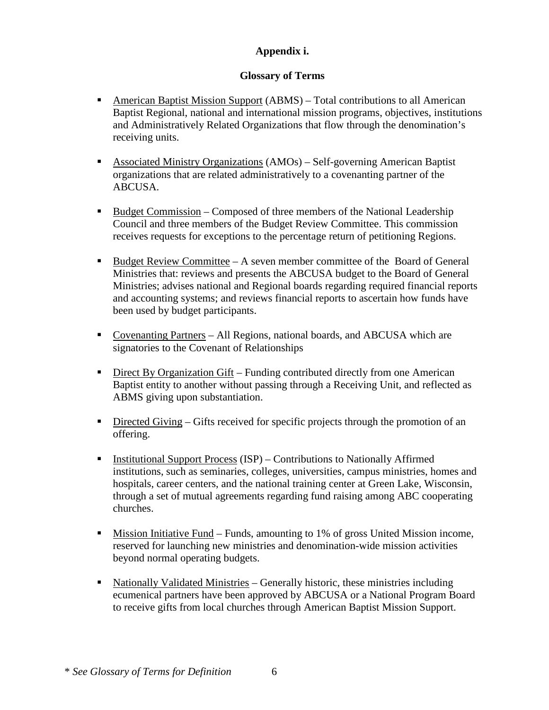## **Appendix i.**

### **Glossary of Terms**

- American Baptist Mission Support (ABMS) Total contributions to all American Baptist Regional, national and international mission programs, objectives, institutions and Administratively Related Organizations that flow through the denomination's receiving units.
- Associated Ministry Organizations (AMOs) Self-governing American Baptist organizations that are related administratively to a covenanting partner of the ABCUSA.
- Budget Commission Composed of three members of the National Leadership Council and three members of the Budget Review Committee. This commission receives requests for exceptions to the percentage return of petitioning Regions.
- Budget Review Committee A seven member committee of the Board of General Ministries that: reviews and presents the ABCUSA budget to the Board of General Ministries; advises national and Regional boards regarding required financial reports and accounting systems; and reviews financial reports to ascertain how funds have been used by budget participants.
- Covenanting Partners All Regions, national boards, and ABCUSA which are signatories to the Covenant of Relationships
- Direct By Organization Gift Funding contributed directly from one American Baptist entity to another without passing through a Receiving Unit, and reflected as ABMS giving upon substantiation.
- $\blacksquare$  Directed Giving Gifts received for specific projects through the promotion of an offering.
- **Institutional Support Process (ISP)** Contributions to Nationally Affirmed institutions, such as seminaries, colleges, universities, campus ministries, homes and hospitals, career centers, and the national training center at Green Lake, Wisconsin, through a set of mutual agreements regarding fund raising among ABC cooperating churches.
- Mission Initiative Fund Funds, amounting to 1% of gross United Mission income, reserved for launching new ministries and denomination-wide mission activities beyond normal operating budgets.
- Nationally Validated Ministries Generally historic, these ministries including ecumenical partners have been approved by ABCUSA or a National Program Board to receive gifts from local churches through American Baptist Mission Support.